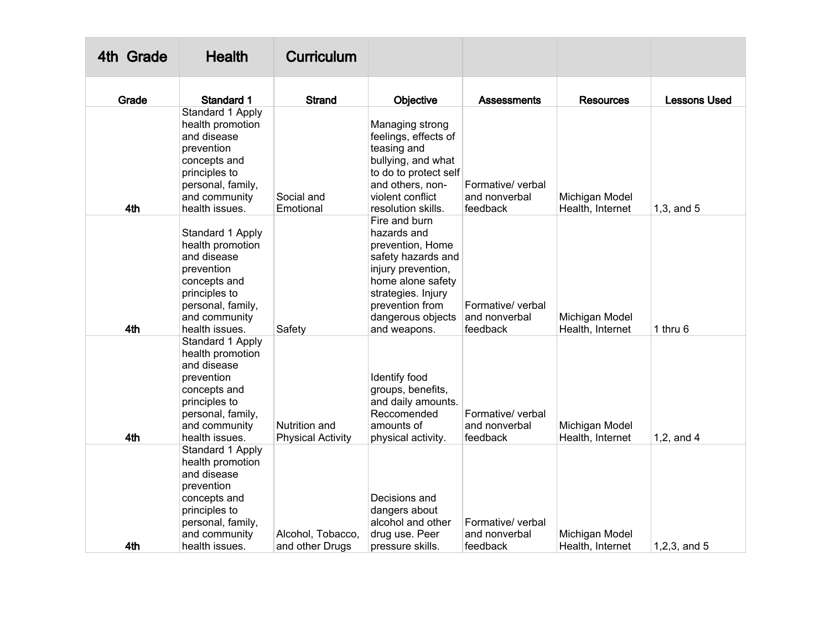| 4th Grade | <b>Health</b>                                                                                                                                              | <b>Curriculum</b>                         |                                                                                                                                                                                                 |                                                |                                    |                     |
|-----------|------------------------------------------------------------------------------------------------------------------------------------------------------------|-------------------------------------------|-------------------------------------------------------------------------------------------------------------------------------------------------------------------------------------------------|------------------------------------------------|------------------------------------|---------------------|
| Grade     | <b>Standard 1</b>                                                                                                                                          | <b>Strand</b>                             | Objective                                                                                                                                                                                       | Assessments                                    | <b>Resources</b>                   | <b>Lessons Used</b> |
| 4th       | Standard 1 Apply<br>health promotion<br>and disease<br>prevention<br>concepts and<br>principles to<br>personal, family,<br>and community<br>health issues. | Social and<br>Emotional                   | Managing strong<br>feelings, effects of<br>teasing and<br>bullying, and what<br>to do to protect self<br>and others, non-<br>violent conflict<br>resolution skills.                             | Formative/ verbal<br>and nonverbal<br>feedback | Michigan Model<br>Health, Internet | $1,3$ , and $5$     |
| 4th       | Standard 1 Apply<br>health promotion<br>and disease<br>prevention<br>concepts and<br>principles to<br>personal, family,<br>and community<br>health issues. | Safety                                    | Fire and burn<br>hazards and<br>prevention, Home<br>safety hazards and<br>injury prevention,<br>home alone safety<br>strategies. Injury<br>prevention from<br>dangerous objects<br>and weapons. | Formative/ verbal<br>and nonverbal<br>feedback | Michigan Model<br>Health, Internet | 1 thru 6            |
| 4th       | Standard 1 Apply<br>health promotion<br>and disease<br>prevention<br>concepts and<br>principles to<br>personal, family,<br>and community<br>health issues. | Nutrition and<br><b>Physical Activity</b> | Identify food<br>groups, benefits,<br>and daily amounts.<br>Reccomended<br>amounts of<br>physical activity.                                                                                     | Formative/ verbal<br>and nonverbal<br>feedback | Michigan Model<br>Health, Internet | $1,2$ , and $4$     |
| 4th       | Standard 1 Apply<br>health promotion<br>and disease<br>prevention<br>concepts and<br>principles to<br>personal, family,<br>and community<br>health issues. | Alcohol, Tobacco,<br>and other Drugs      | Decisions and<br>dangers about<br>alcohol and other<br>drug use. Peer<br>pressure skills.                                                                                                       | Formative/ verbal<br>and nonverbal<br>feedback | Michigan Model<br>Health, Internet | $1, 2, 3,$ and $5$  |